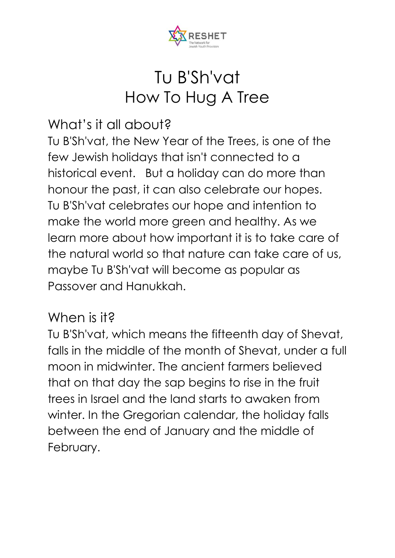

# Tu B'Sh'vat How To Hug A Tree

# What's it all about?

Tu B'Sh'vat, the New Year of the Trees, is one of the few Jewish holidays that isn't connected to a historical event. But a holiday can do more than honour the past, it can also celebrate our hopes. Tu B'Sh'vat celebrates our hope and intention to make the world more green and healthy. As we learn more about how important it is to take care of the natural world so that nature can take care of us, maybe Tu B'Sh'vat will become as popular as Passover and Hanukkah.

## When is it?

Tu B'Sh'vat, which means the fifteenth day of Shevat, falls in the middle of the month of Shevat, under a full moon in midwinter. The ancient farmers believed that on that day the sap begins to rise in the fruit trees in Israel and the land starts to awaken from winter. In the Gregorian calendar, the holiday falls between the end of January and the middle of February.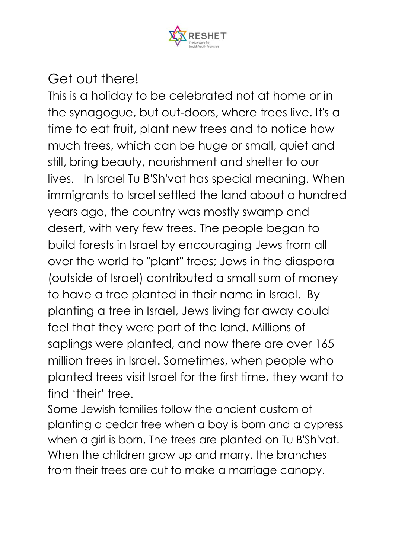

# Get out there!

This is a holiday to be celebrated not at home or in the synagogue, but out-doors, where trees live. It's a time to eat fruit, plant new trees and to notice how much trees, which can be huge or small, quiet and still, bring beauty, nourishment and shelter to our lives. In Israel Tu B'Sh'vat has special meaning. When immigrants to Israel settled the land about a hundred years ago, the country was mostly swamp and desert, with very few trees. The people began to build forests in Israel by encouraging Jews from all over the world to "plant" trees; Jews in the diaspora (outside of Israel) contributed a small sum of money to have a tree planted in their name in Israel. By planting a tree in Israel, Jews living far away could feel that they were part of the land. Millions of saplings were planted, and now there are over 165 million trees in Israel. Sometimes, when people who planted trees visit Israel for the first time, they want to find 'their' tree.

Some Jewish families follow the ancient custom of planting a cedar tree when a boy is born and a cypress when a girl is born. The trees are planted on Tu B'Sh'vat. When the children grow up and marry, the branches from their trees are cut to make a marriage canopy.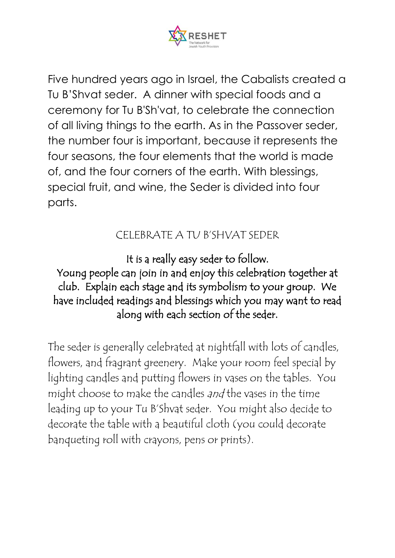

Five hundred years ago in Israel, the Cabalists created a Tu B'Shvat seder. A dinner with special foods and a ceremony for Tu B'Sh'vat, to celebrate the connection of all living things to the earth. As in the Passover seder, the number four is important, because it represents the four seasons, the four elements that the world is made of, and the four corners of the earth. With blessings, special fruit, and wine, the Seder is divided into four parts.

## CELEBRATE A TU B'SHVAT SEDER

It is a really easy seder to follow. Young people can join in and enjoy this celebration together at club. Explain each stage and its symbolism to your group. We have included readings and blessings which you may want to read along with each section of the seder.

The seder is generally celebrated at nightfall with lots of candles, flowers, and fragrant greenery. Make your room feel special by lighting candles and putting flowers in vases on the tables. You might choose to make the candles and the vases in the time leading up to your Tu B'Shvat seder. You might also decide to decorate the table with a beautiful cloth (you could decorate banqueting roll with crayons, pens or prints).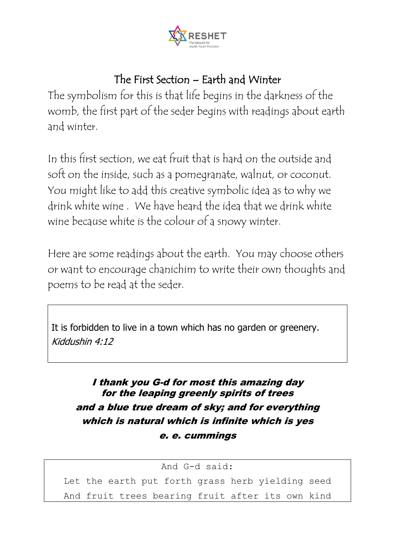

# The First Section – Earth and Winter

The symbolism for this is that life begins in the darkness of the womb, the first part of the seder begins with readings about earth and winter.

In this first section, we eat fruit that is hard on the outside and soft on the inside, such as a pomegranate, walnut, or coconut. You might like to add this creative symbolic idea as to why we drink white wine . We have heard the idea that we drink white wine because white is the colour of a snowy winter.

Here are some readings about the earth. You may choose others or want to encourage chanichim to write their own thoughts and poems to be read at the seder.

It is forbidden to live in a town which has no garden or greenery. Kiddushin 4:12

### I thank you G-d for most this amazing day for the leaping greenly spirits of trees and a blue true dream of sky; and for everything which is natural which is infinite which is yes e. e. cummings

And G-d said:

Let the earth put forth grass herb yielding seed And fruit trees bearing fruit after its own kind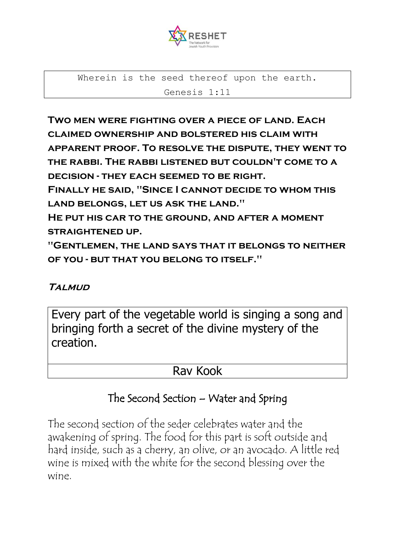

Wherein is the seed thereof upon the earth. Genesis 1:11

**Two men were fighting over a piece of land. Each claimed ownership and bolstered his claim with apparent proof. To resolve the dispute, they went to the rabbi. The rabbi listened but couldn't come to a decision - they each seemed to be right. Finally he said, "Since I cannot decide to whom this land belongs, let us ask the land." He put his car to the ground, and after a moment straightened up. "Gentlemen, the land says that it belongs to neither** 

**of you - but that you belong to itself."** 

### **Talmud**

Every part of the vegetable world is singing a song and bringing forth a secret of the divine mystery of the creation.

## Rav Kook

## The Second Section – Water and Spring

The second section of the seder celebrates water and the awakening of spring. The food for this part is soft outside and hard inside, such as a cherry, an olive, or an avocado. A little red wine is mixed with the white for the second blessing over the wine.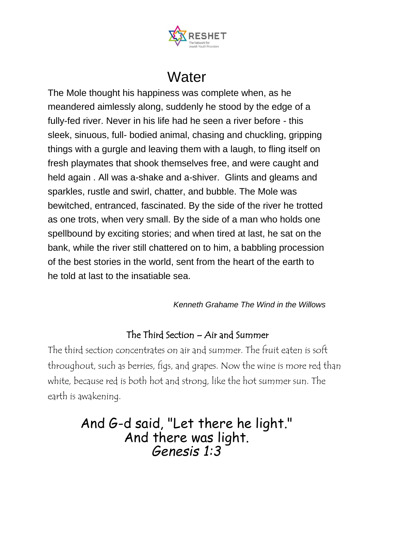

# **Water**

The Mole thought his happiness was complete when, as he meandered aimlessly along, suddenly he stood by the edge of a fully-fed river. Never in his life had he seen a river before - this sleek, sinuous, full- bodied animal, chasing and chuckling, gripping things with a gurgle and leaving them with a laugh, to fling itself on fresh playmates that shook themselves free, and were caught and held again . All was a-shake and a-shiver. Glints and gleams and sparkles, rustle and swirl, chatter, and bubble. The Mole was bewitched, entranced, fascinated. By the side of the river he trotted as one trots, when very small. By the side of a man who holds one spellbound by exciting stories; and when tired at last, he sat on the bank, while the river still chattered on to him, a babbling procession of the best stories in the world, sent from the heart of the earth to he told at last to the insatiable sea.

*Kenneth Grahame The Wind in the Willows* 

#### The Third Section – Air and Summer

The third section concentrates on air and summer. The fruit eaten is soft throughout, such as berries, figs, and grapes. Now the wine is more red than white, because red is both hot and strong, like the hot summer sun. The earth is awakening.

# And G-d said, "Let there he light." And there was light. *Genesis 1:3*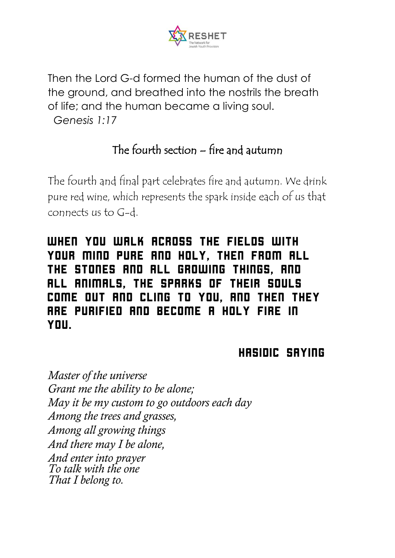

Then the Lord G-d formed the human of the dust of the ground, and breathed into the nostrils the breath of life; and the human became a living soul. *Genesis 1:1*7

# The fourth section – fire and autumn

The fourth and final part celebrates fire and autumn. We drink pure red wine, which represents the spark inside each of us that connects us to G-d.

When you walk across the fields with your mind pure and holy, then from all the stones and all growing things, and all animals, the sparks of their souls come out and cling to you, and then they are purified and become a holy fire in you.

## Hasidic saying

*Master of the universe Grant me the ability to be alone; May it be my custom to go outdoors each day Among the trees and grasses, Among all growing things And there may I be alone, And enter into prayer To talk with the one That I belong to.*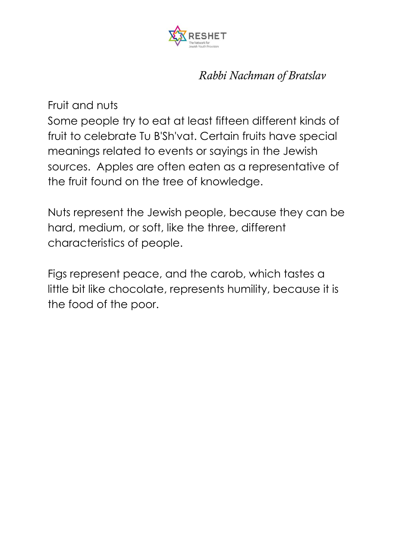

### *Rabbi Nachman of Bratslav*

Fruit and nuts

Some people try to eat at least fifteen different kinds of fruit to celebrate Tu B'Sh'vat. Certain fruits have special meanings related to events or sayings in the Jewish sources. Apples are often eaten as a representative of the fruit found on the tree of knowledge.

Nuts represent the Jewish people, because they can be hard, medium, or soft, like the three, different characteristics of people.

Figs represent peace, and the carob, which tastes a little bit like chocolate, represents humility, because it is the food of the poor.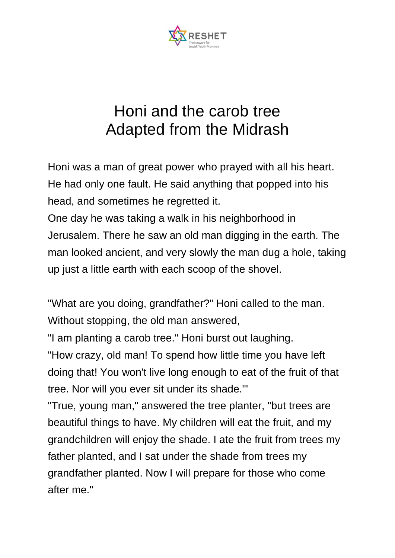

# Honi and the carob tree Adapted from the Midrash

Honi was a man of great power who prayed with all his heart. He had only one fault. He said anything that popped into his head, and sometimes he regretted it.

One day he was taking a walk in his neighborhood in Jerusalem. There he saw an old man digging in the earth. The man looked ancient, and very slowly the man dug a hole, taking up just a little earth with each scoop of the shovel.

"What are you doing, grandfather?" Honi called to the man. Without stopping, the old man answered,

"I am planting a carob tree." Honi burst out laughing.

"How crazy, old man! To spend how little time you have left doing that! You won't live long enough to eat of the fruit of that tree. Nor will you ever sit under its shade."'

"True, young man," answered the tree planter, "but trees are beautiful things to have. My children will eat the fruit, and my grandchildren will enjoy the shade. I ate the fruit from trees my father planted, and I sat under the shade from trees my grandfather planted. Now I will prepare for those who come after me."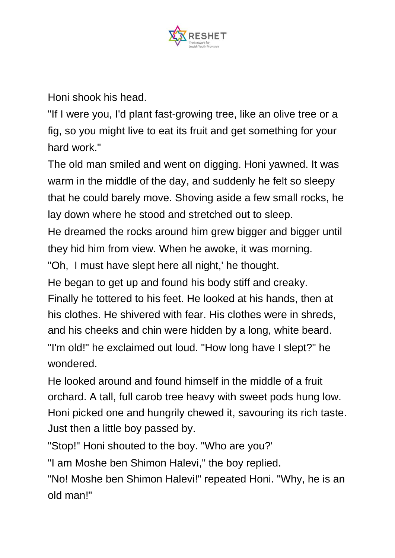

Honi shook his head.

"If I were you, I'd plant fast-growing tree, like an olive tree or a fig, so you might live to eat its fruit and get something for your hard work."

The old man smiled and went on digging. Honi yawned. It was warm in the middle of the day, and suddenly he felt so sleepy that he could barely move. Shoving aside a few small rocks, he lay down where he stood and stretched out to sleep.

He dreamed the rocks around him grew bigger and bigger until they hid him from view. When he awoke, it was morning.

"Oh, I must have slept here all night,' he thought.

He began to get up and found his body stiff and creaky.

Finally he tottered to his feet. He looked at his hands, then at his clothes. He shivered with fear. His clothes were in shreds, and his cheeks and chin were hidden by a long, white beard. "I'm old!" he exclaimed out loud. "How long have I slept?" he wondered.

He looked around and found himself in the middle of a fruit orchard. A tall, full carob tree heavy with sweet pods hung low. Honi picked one and hungrily chewed it, savouring its rich taste. Just then a little boy passed by.

"Stop!" Honi shouted to the boy. "Who are you?'

"I am Moshe ben Shimon Halevi," the boy replied.

"No! Moshe ben Shimon Halevi!" repeated Honi. "Why, he is an old man!"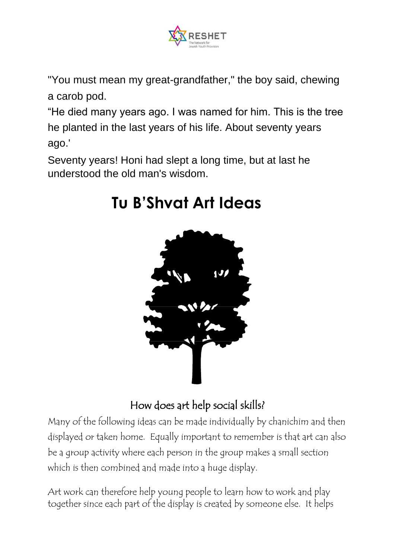

"You must mean my great-grandfather," the boy said, chewing a carob pod.

"He died many years ago. I was named for him. This is the tree he planted in the last years of his life. About seventy years ago.'

Seventy years! Honi had slept a long time, but at last he understood the old man's wisdom.

# **Tu B'Shvat Art Ideas**



## How does art help social skills?

Many of the following ideas can be made individually by chanichim and then displayed or taken home. Equally important to remember is that art can also be a group activity where each person in the group makes a small section which is then combined and made into a huge display.

Art work can therefore help young people to learn how to work and play together since each part of the display is created by someone else. It helps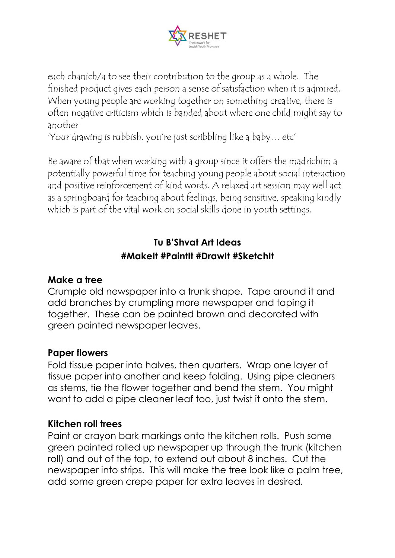

each chanich/a to see their contribution to the group as a whole. The finished product gives each person a sense of satisfaction when it is admired. When young people are working together on something creative, there is often negative criticism which is banded about where one child might say to another

'Your drawing is rubbish, you're just scribbling like a baby… etc'

Be aware of that when working with a group since it offers the madrichim a potentially powerful time for teaching young people about social interaction and positive reinforcement of kind words. A relaxed art session may well act as a springboard for teaching about feelings, being sensitive, speaking kindly which is part of the vital work on social skills done in youth settings.

### **Tu B'Shvat Art Ideas #MakeIt #PaintIt #DrawIt #SketchIt**

#### **Make a tree**

Crumple old newspaper into a trunk shape. Tape around it and add branches by crumpling more newspaper and taping it together. These can be painted brown and decorated with green painted newspaper leaves.

#### **Paper flowers**

Fold tissue paper into halves, then quarters. Wrap one layer of tissue paper into another and keep folding. Using pipe cleaners as stems, tie the flower together and bend the stem. You might want to add a pipe cleaner leaf too, just twist it onto the stem.

#### **Kitchen roll trees**

Paint or crayon bark markings onto the kitchen rolls. Push some green painted rolled up newspaper up through the trunk (kitchen roll) and out of the top, to extend out about 8 inches. Cut the newspaper into strips. This will make the tree look like a palm tree, add some green crepe paper for extra leaves in desired.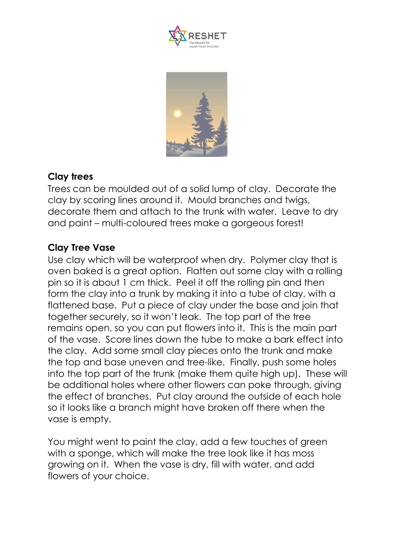



#### **Clay trees**

Trees can be moulded out of a solid lump of clay. Decorate the clay by scoring lines around it. Mould branches and twigs, decorate them and attach to the trunk with water. Leave to dry and paint – multi-coloured trees make a gorgeous forest!

#### **Clay Tree Vase**

Use clay which will be waterproof when dry. Polymer clay that is oven baked is a great option. Flatten out some clay with a rolling pin so it is about 1 cm thick. Peel it off the rolling pin and then form the clay into a trunk by making it into a tube of clay, with a flattened base. Put a piece of clay under the base and join that together securely, so it won't leak. The top part of the tree remains open, so you can put flowers into it. This is the main part of the vase. Score lines down the tube to make a bark effect into the clay. Add some small clay pieces onto the trunk and make the top and base uneven and tree-like. Finally, push some holes into the top part of the trunk (make them quite high up). These will be additional holes where other flowers can poke through, giving the effect of branches. Put clay around the outside of each hole so it looks like a branch might have broken off there when the vase is empty.

You might went to paint the clay, add a few touches of green with a sponge, which will make the tree look like it has moss growing on it. When the vase is dry, fill with water, and add flowers of your choice.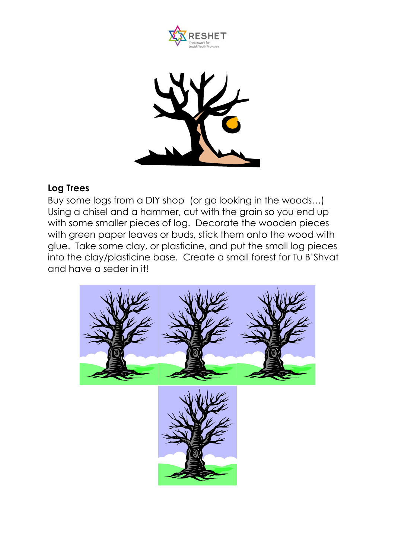



#### **Log Trees**

Buy some logs from a DIY shop (or go looking in the woods…) Using a chisel and a hammer, cut with the grain so you end up with some smaller pieces of log. Decorate the wooden pieces with green paper leaves or buds, stick them onto the wood with glue. Take some clay, or plasticine, and put the small log pieces into the clay/plasticine base. Create a small forest for Tu B'Shvat and have a seder in it!



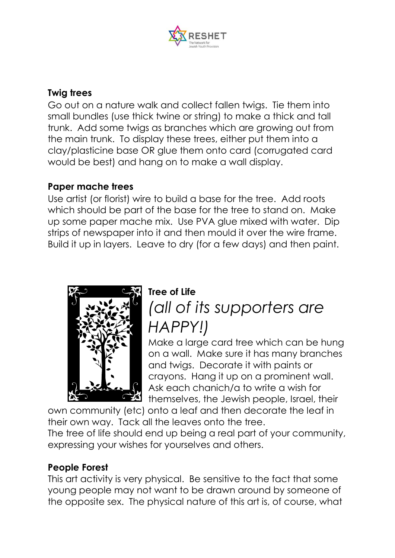

#### **Twig trees**

Go out on a nature walk and collect fallen twigs. Tie them into small bundles (use thick twine or string) to make a thick and tall trunk. Add some twigs as branches which are growing out from the main trunk. To display these trees, either put them into a clay/plasticine base OR glue them onto card (corrugated card would be best) and hang on to make a wall display.

#### **Paper mache trees**

Use artist (or florist) wire to build a base for the tree. Add roots which should be part of the base for the tree to stand on. Make up some paper mache mix. Use PVA glue mixed with water. Dip strips of newspaper into it and then mould it over the wire frame. Build it up in layers. Leave to dry (for a few days) and then paint.



#### **Tree of Life**

# *(all of its supporters are HAPPY!)*

Make a large card tree which can be hung on a wall. Make sure it has many branches and twigs. Decorate it with paints or crayons. Hang it up on a prominent wall. Ask each chanich/a to write a wish for themselves, the Jewish people, Israel, their

own community (etc) onto a leaf and then decorate the leaf in their own way. Tack all the leaves onto the tree.

The tree of life should end up being a real part of your community, expressing your wishes for yourselves and others.

#### **People Forest**

This art activity is very physical. Be sensitive to the fact that some young people may not want to be drawn around by someone of the opposite sex. The physical nature of this art is, of course, what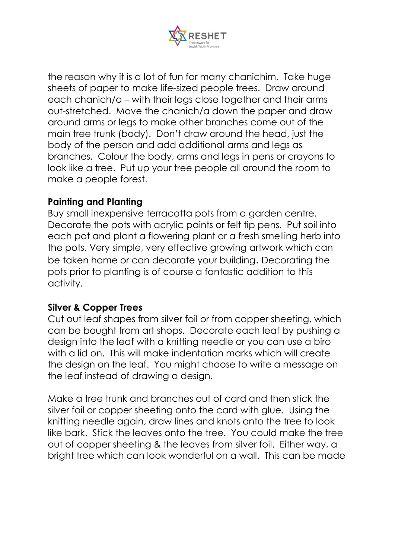

the reason why it is a lot of fun for many chanichim. Take huge sheets of paper to make life-sized people trees. Draw around each chanich/a – with their legs close together and their arms out-stretched. Move the chanich/a down the paper and draw around arms or legs to make other branches come out of the main tree trunk (body). Don't draw around the head, just the body of the person and add additional arms and legs as branches. Colour the body, arms and legs in pens or crayons to look like a tree. Put up your tree people all around the room to make a people forest.

#### **Painting and Planting**

Buy small inexpensive terracotta pots from a garden centre. Decorate the pots with acrylic paints or felt tip pens. Put soil into each pot and plant a flowering plant or a fresh smelling herb into the pots. Very simple, very effective growing artwork which can be taken home or can decorate your building. Decorating the pots prior to planting is of course a fantastic addition to this activity.

#### **Silver & Copper Trees**

Cut out leaf shapes from silver foil or from copper sheeting, which can be bought from art shops. Decorate each leaf by pushing a design into the leaf with a knitting needle or you can use a biro with a lid on. This will make indentation marks which will create the design on the leaf. You might choose to write a message on the leaf instead of drawing a design.

Make a tree trunk and branches out of card and then stick the silver foil or copper sheeting onto the card with glue. Using the knitting needle again, draw lines and knots onto the tree to look like bark. Stick the leaves onto the tree. You could make the tree out of copper sheeting & the leaves from silver foil. Either way, a bright tree which can look wonderful on a wall. This can be made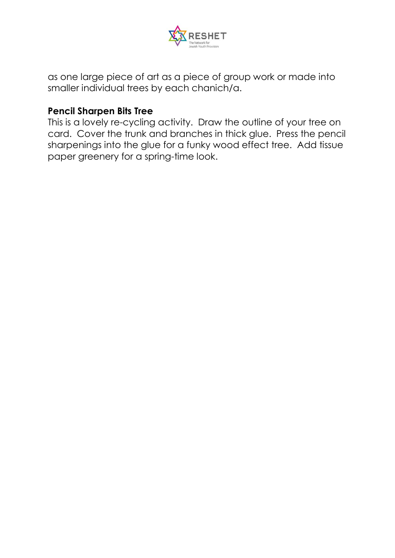

as one large piece of art as a piece of group work or made into smaller individual trees by each chanich/a.

#### **Pencil Sharpen Bits Tree**

This is a lovely re-cycling activity. Draw the outline of your tree on card. Cover the trunk and branches in thick glue. Press the pencil sharpenings into the glue for a funky wood effect tree. Add tissue paper greenery for a spring-time look.